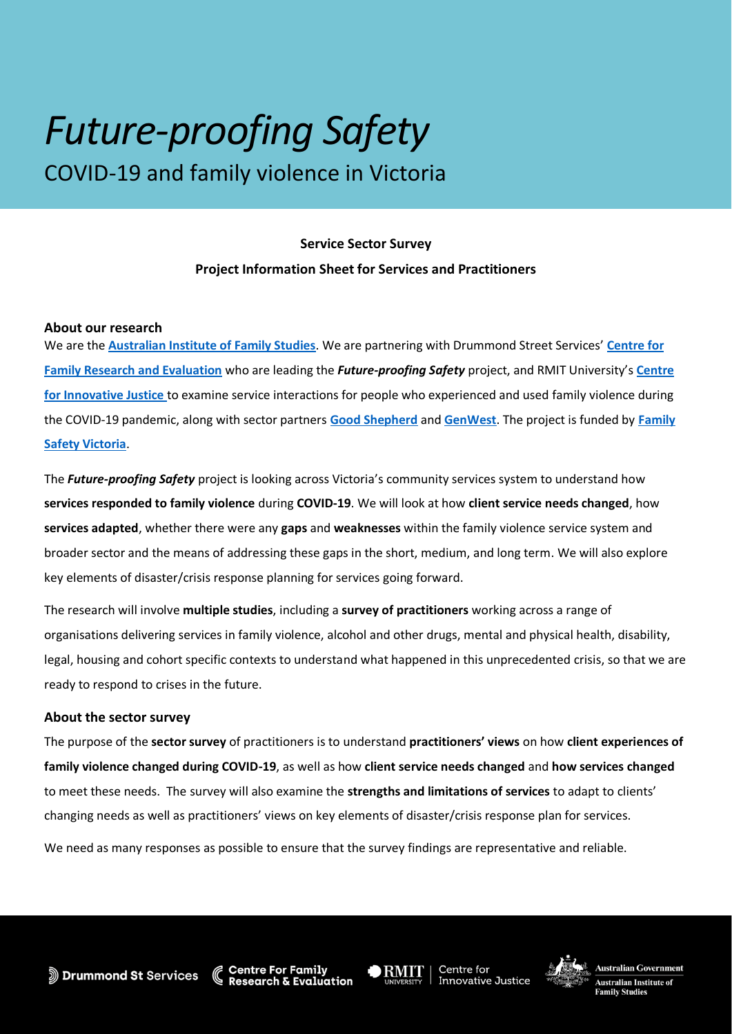# *Future-proofing Safety*  COVID-19 and family violence in Victoria

# **Project Information Sheet for Services and Practitioners Service Sector Survey**

## **About our research**

 We are the **[Australian Institute of Family Studies](https://aifs.gov.au/)**. We are partnering with Drummond Street Services' **[Centre for](https://cfre.org.au/)  [Family Research and Evaluation](https://cfre.org.au/)** who are leading the *Future-proofing Safety* project, and RMIT University's **[Centre](https://cij.org.au/)  [for Innovative Justice](https://cij.org.au/)** to examine service interactions for people who experienced and used family violence during the COVID-19 pandemic, along with sector partners **[Good Shepherd](https://goodshep.org.au/)** and **[GenWest](https://whwest.org.au/welcome-to-genwest/)**. The project is funded by **[Family](https://www.vic.gov.au/family-safety-victoria)  [Safety Victoria](https://www.vic.gov.au/family-safety-victoria)**.

 The *Future-proofing Safety* project is looking across Victoria's community services system to understand how  **services responded to family violence** during **COVID-19**. We will look at how **client service needs changed**, how **services adapted**, whether there were any **gaps** and **weaknesses** within the family violence service system and broader sector and the means of addressing these gaps in the short, medium, and long term. We will also explore key elements of disaster/crisis response planning for services going forward.

 The research will involve **multiple studies**, including a **survey of practitioners** working across a range of organisations delivering services in family violence, alcohol and other drugs, mental and physical health, disability, legal, housing and cohort specific contexts to understand what happened in this unprecedented crisis, so that we are ready to respond to crises in the future.

### **About the sector survey**

 The purpose of the **sector survey** of practitioners is to understand **practitioners' views** on how **client experiences of family violence changed during COVID-19**, as well as how **client service needs changed** and **how services changed**  to meet these needs. The survey will also examine the **strengths and limitations of services** to adapt to clients' changing needs as well as practitioners' views on key elements of disaster/crisis response plan for services.

We need as many responses as possible to ensure that the survey findings are representative and reliable.



Innovative Justice

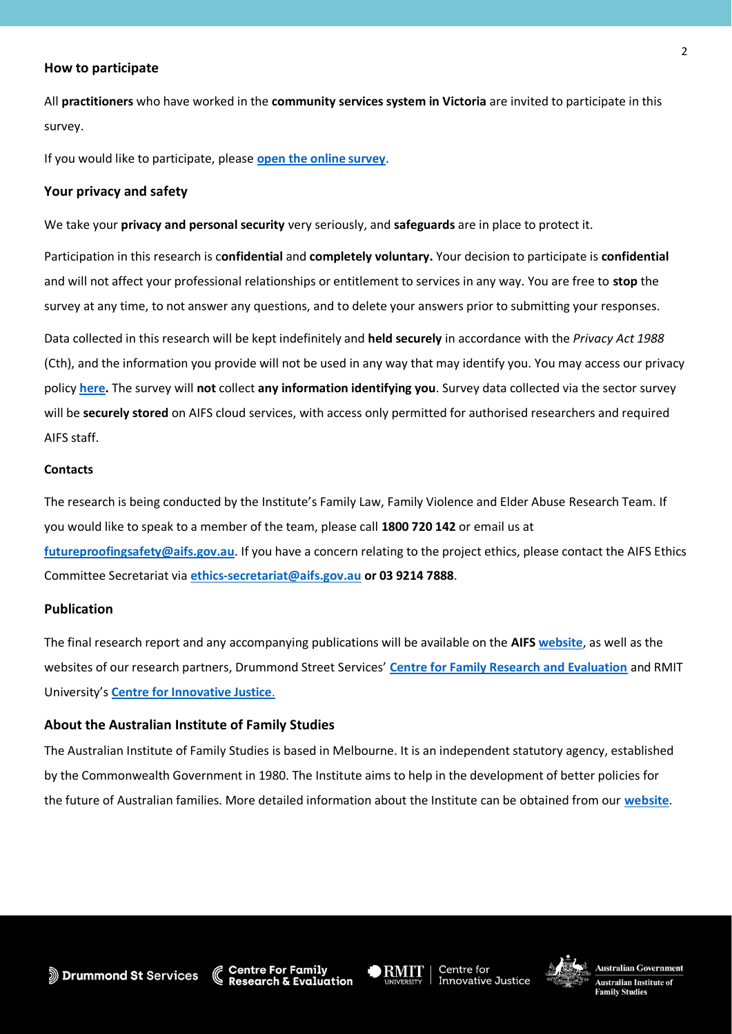#### **How to participate**

 All **practitioners** who have worked in the **community services system in Victoria** are invited to participate in this survey.

If you would like to participate, please **[open the online survey](https://surveys.aifs.gov.au/aifs/index.php/156128?lang=en)**.

#### **Your privacy and safety**

 We take your **privacy and personal security** very seriously, and **safeguards** are in place to protect it.

 Participation in this research is c**onfidential** and **completely voluntary.** Your decision to participate is **confidential**  and will not affect your professional relationships or entitlement to services in any way. You are free to **stop** the survey at any time, to not answer any questions, and to delete your answers prior to submitting your responses.

 Data collected in this research will be kept indefinitely and **held securely** in accordance with the *Privacy Act 1988*  (Cth), and the information you provide will not be used in any way that may identify you. You may access our privacy policy **[here.](https://aifs.gov.au/aifs-privacy-policy)** The survey will **not** collect **any information identifying you**. Survey data collected via the sector survey will be **securely stored** on AIFS cloud services, with access only permitted for authorised researchers and required AIFS staff.

#### **Contacts**

 The research is being conducted by the Institute's Family Law, Family Violence and Elder Abuse Research Team. If you would like to speak to a member of the team, please call **1800 720 142** or email us at **[futureproofingsafety@aifs.gov.au](mailto:futureproofingsafety@aifs.gov.au)**. If you have a concern relating to the project ethics, please contact the AIFS Ethics Committee Secretariat via **[ethics-secretariat@aifs.gov.au](mailto:ethics-secretariat@aifs.gov.au) or 03 9214 7888**.

#### **Publication**

 The final research report and any accompanying publications will be available on the **AIFS [website](https://aifs.gov.au/)**, as well as the websites of our research partners, Drummond Street Services' **[Centre for Family Research and Evaluation](https://cfre.org.au/)** and RMIT  University's **[Centre for Innovative Justice](https://cij.org.au/)**.

#### **About the Australian Institute of Family Studies**

 The Australian Institute of Family Studies is based in Melbourne. It is an independent statutory agency, established by the Commonwealth Government in 1980. The Institute aims to help in the development of better policies for the future of Australian families. More detailed information about the Institute can be obtained from our **[website](https://aifs.gov.au/)**.

 $E$ valuation



• **RMIT** I Centre for Centre for **Australian Government**<br>Innovative Justice <sup>•</sup> <sup>•</sup> • **Australian Institute of** 



2